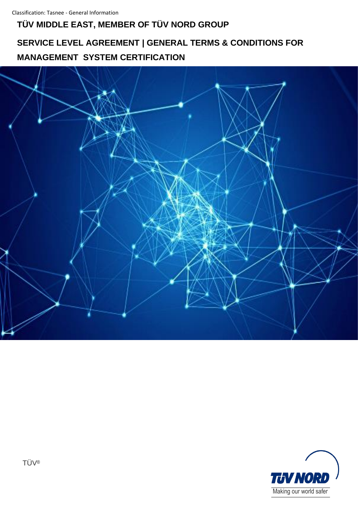## **TÜV MIDDLE EAST, MEMBER OF TÜV NORD GROUP**

# **SERVICE LEVEL AGREEMENT | GENERAL TERMS & CONDITIONS FOR MANAGEMENT SYSTEM CERTIFICATION**



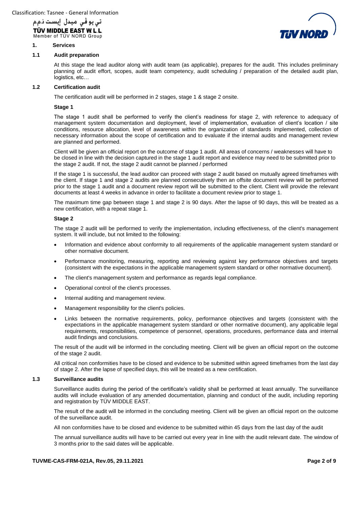

#### **1. Services**

#### **1.1 Audit preparation**

At this stage the lead auditor along with audit team (as applicable), prepares for the audit. This includes preliminary planning of audit effort, scopes, audit team competency, audit scheduling / preparation of the detailed audit plan, logistics, etc…

#### **1.2 Certification audit**

The certification audit will be performed in 2 stages, stage 1 & stage 2 onsite.

#### **Stage 1**

The stage 1 audit shall be performed to verify the client's readiness for stage 2, with reference to adequacy of management system documentation and deployment, level of implementation, evaluation of client's location / site conditions, resource allocation, level of awareness within the organization of standards implemented, collection of necessary information about the scope of certification and to evaluate if the internal audits and management review are planned and performed.

Client will be given an official report on the outcome of stage 1 audit. All areas of concerns / weaknesses will have to be closed in line with the decision captured in the stage 1 audit report and evidence may need to be submitted prior to the stage 2 audit. If not, the stage 2 audit cannot be planned / performed

If the stage 1 is successful, the lead auditor can proceed with stage 2 audit based on mutually agreed timeframes with the client. If stage 1 and stage 2 audits are planned consecutively then an offsite document review will be performed prior to the stage 1 audit and a document review report will be submitted to the client. Client will provide the relevant documents at least 4 weeks in advance in order to facilitate a document review prior to stage 1.

The maximum time gap between stage 1 and stage 2 is 90 days. After the lapse of 90 days, this will be treated as a new certification, with a repeat stage 1.

#### **Stage 2**

The stage 2 audit will be performed to verify the implementation, including effectiveness, of the client's management system. It will include, but not limited to the following:

- Information and evidence about conformity to all requirements of the applicable management system standard or other normative document.
- Performance monitoring, measuring, reporting and reviewing against key performance objectives and targets (consistent with the expectations in the applicable management system standard or other normative document).
- The client's management system and performance as regards legal compliance.
- Operational control of the client's processes.
- Internal auditing and management review.
- Management responsibility for the client's policies.
- Links between the normative requirements, policy, performance objectives and targets (consistent with the expectations in the applicable management system standard or other normative document), any applicable legal requirements, responsibilities, competence of personnel, operations, procedures, performance data and internal audit findings and conclusions.

The result of the audit will be informed in the concluding meeting. Client will be given an official report on the outcome of the stage 2 audit.

All critical non conformities have to be closed and evidence to be submitted within agreed timeframes from the last day of stage 2. After the lapse of specified days, this will be treated as a new certification.

#### **1.3 Surveillance audits**

Surveillance audits during the period of the certificate's validity shall be performed at least annually. The surveillance audits will include evaluation of any amended documentation, planning and conduct of the audit, including reporting and registration by TÜV MIDDLE EAST.

The result of the audit will be informed in the concluding meeting. Client will be given an official report on the outcome of the surveillance audit.

All non conformities have to be closed and evidence to be submitted within 45 days from the last day of the audit

The annual surveillance audits will have to be carried out every year in line with the audit relevant date. The window of 3 months prior to the said dates will be applicable.

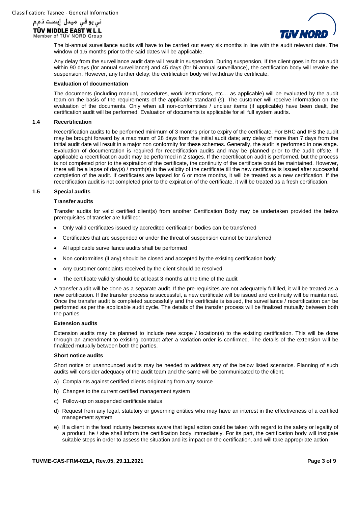



The bi-annual surveillance audits will have to be carried out every six months in line with the audit relevant date. The window of 1.5 months prior to the said dates will be applicable.

Any delay from the surveillance audit date will result in suspension. During suspension, If the client goes in for an audit within 90 days (for annual surveillance) and 45 days (for bi-annual surveillance), the certification body will revoke the suspension. However, any further delay; the certification body will withdraw the certificate.

#### **Evaluation of documentation**

The documents (including manual, procedures, work instructions, etc… as applicable) will be evaluated by the audit team on the basis of the requirements of the applicable standard (s). The customer will receive information on the evaluation of the documents. Only when all non-conformities / unclear items (if applicable) have been dealt, the certification audit will be performed. Evaluation of documents is applicable for all full system audits.

#### **1.4 Recertification**

Recertification audits to be performed minimum of 3 months prior to expiry of the certificate. For BRC and IFS the audit may be brought forward by a maximum of 28 days from the initial audit date; any delay of more than 7 days from the initial audit date will result in a major non conformity for these schemes. Generally, the audit is performed in one stage. Evaluation of documentation is required for recertification audits and may be planned prior to the audit offsite. If applicable a recertification audit may be performed in 2 stages. If the recertification audit is performed, but the process is not completed prior to the expiration of the certificate, the continuity of the certificate could be maintained. However, there will be a lapse of day(s) / month(s) in the validity of the certificate till the new certificate is issued after successful completion of the audit. If certificates are lapsed for 6 or more months, it will be treated as a new certification. If the recertification audit is not completed prior to the expiration of the certificate, it will be treated as a fresh certification.

## **1.5 Special audits**

#### **Transfer audits**

Transfer audits for valid certified client(s) from another Certification Body may be undertaken provided the below prerequisites of transfer are fulfilled:

- Only valid certificates issued by accredited certification bodies can be transferred
- Certificates that are suspended or under the threat of suspension cannot be transferred
- All applicable surveillance audits shall be performed
- Non conformities (if any) should be closed and accepted by the existing certification body
- Any customer complaints received by the client should be resolved
- The certificate validity should be at least 3 months at the time of the audit

A transfer audit will be done as a separate audit. If the pre-requisites are not adequately fulfilled, it will be treated as a new certification. If the transfer process is successful, a new certificate will be issued and continuity will be maintained. Once the transfer audit is completed successfully and the certificate is issued, the surveillance / recertification can be performed as per the applicable audit cycle. The details of the transfer process will be finalized mutually between both the parties.

#### **Extension audits**

Extension audits may be planned to include new scope / location(s) to the existing certification. This will be done through an amendment to existing contract after a variation order is confirmed. The details of the extension will be finalized mutually between both the parties.

#### **Short notice audits**

Short notice or unannounced audits may be needed to address any of the below listed scenarios. Planning of such audits will consider adequacy of the audit team and the same will be communicated to the client.

- a) Complaints against certified clients originating from any source
- b) Changes to the current certified management system
- c) Follow-up on suspended certificate status
- d) Request from any legal, statutory or governing entities who may have an interest in the effectiveness of a certified management system
- e) If a client in the food industry becomes aware that legal action could be taken with regard to the safety or legality of a product, he / she shall inform the certification body immediately. For its part, the certification body will instigate suitable steps in order to assess the situation and its impact on the certification, and will take appropriate action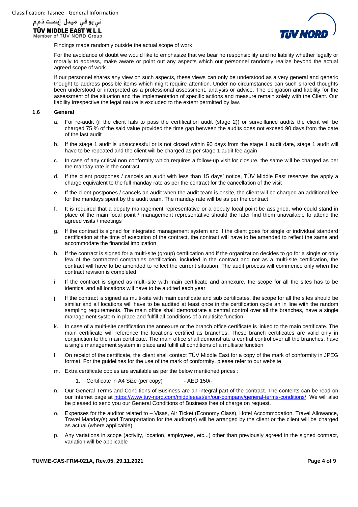



Findings made randomly outside the actual scope of work

For the avoidance of doubt we would like to emphasize that we bear no responsibility and no liability whether legally or morally to address, make aware or point out any aspects which our personnel randomly realize beyond the actual agreed scope of work.

If our personnel shares any view on such aspects, these views can only be understood as a very general and generic thought to address possible items which might require attention. Under no circumstances can such shared thoughts been understood or interpreted as a professional assessment, analysis or advice. The obligation and liability for the assessment of the situation and the implementation of specific actions and measure remain solely with the Client. Our liability irrespective the legal nature is excluded to the extent permitted by law.

#### **1.6 General**

- a. For re-audit (if the client fails to pass the certification audit (stage 2)) or surveillance audits the client will be charged 75 % of the said value provided the time gap between the audits does not exceed 90 days from the date of the last audit
- b. If the stage 1 audit is unsuccessful or is not closed within 90 days from the stage 1 audit date, stage 1 audit will have to be repeated and the client will be charged as per stage 1 audit fee again
- c. In case of any critical non conformity which requires a follow-up visit for closure, the same will be charged as per the manday rate in the contract
- d. If the client postpones / cancels an audit with less than 15 days' notice, TÜV Middle East reserves the apply a charge equivalent to the full manday rate as per the contract for the cancellation of the visit
- e. If the client postpones / cancels an audit when the audit team is onsite, the client will be charged an additional fee for the mandays spent by the audit team. The manday rate will be as per the contract
- f. It is required that a deputy management representative or a deputy focal point be assigned, who could stand in place of the main focal point / management representative should the later find them unavailable to attend the agreed visits / meetings
- g. If the contract is signed for integrated management system and if the client goes for single or individual standard certification at the time of execution of the contract, the contract will have to be amended to reflect the same and accommodate the financial implication
- h. If the contract is signed for a multi-site (group) certification and if the organization decides to go for a single or only few of the contracted companies certification, included in the contract and not as a multi-site certification, the contract will have to be amended to reflect the current situation. The audit process will commence only when the contract revision is completed
- i. If the contract is signed as multi-site with main certificate and annexure, the scope for all the sites has to be identical and all locations will have to be audited each year
- j. If the contract is signed as multi-site with main certificate and sub certificates, the scope for all the sites should be similar and all locations will have to be audited at least once in the certification cycle an in line with the random sampling requirements. The main office shall demonstrate a central control over all the branches, have a single management system in place and fulfill all conditions of a multisite function
- k. In case of a multi-site certification the annexure or the branch office certificate is linked to the main certificate. The main certificate will reference the locations certified as branches. These branch certificates are valid only in conjunction to the main certificate. The main office shall demonstrate a central control over all the branches, have a single management system in place and fulfill all conditions of a multisite function
- l. On receipt of the certificate, the client shall contact TÜV Middle East for a copy of the mark of conformity in JPEG format. For the guidelines for the use of the mark of conformity, please refer to our website
- m. Extra certificate copies are available as per the below mentioned prices :
	- 1. Certificate in A4 Size (per copy) AED 150/-
- n. Our General Terms and Conditions of Business are an integral part of the contract. The contents can be read on our Internet page at [https://www.tuv-nord.com/middleeast/en/our-company/general-terms-conditions/.](https://www.tuv-nord.com/middleeast/en/our-company/general-terms-conditions/) We will also be pleased to send you our General Conditions of Business free of charge on request.
- o. Expenses for the auditor related to Visas, Air Ticket (Economy Class), Hotel Accommodation, Travel Allowance, Travel Manday(s) and Transportation for the auditor(s) will be arranged by the client or the client will be charged as actual (where applicable).
- p. Any variations in scope (activity, location, employees, etc...) other than previously agreed in the signed contract, variation will be applicable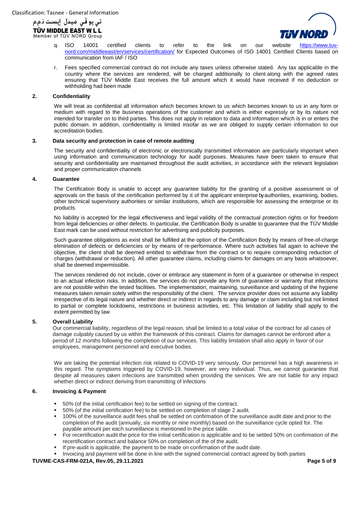



- q. ISO 14001 certified clients to refer to the link on our website [https://www.tuv](https://www.tuv-nord.com/middleeast/en/services/certification/)[nord.com/middleeast/en/services/certification/](https://www.tuv-nord.com/middleeast/en/services/certification/) for Expected Outcomes of ISO 14001 Certified Clients based on communication from IAF / ISO
- r. Fees specified commercial contract do not include any taxes unless otherwise stated. Any tax applicable in the country where the services are rendered, will be charged additionally to client along with the agreed rates ensuring that TÜV Middle East receives the full amount which it would have received if no deduction or withholding had been made

#### **2. Confidentiality**

We will treat as confidential all information which becomes known to us which becomes known to us in any form or medium with regard to the business operations of the customer and which is either expressly or by its nature not intended for transfer on to third parties. This does not apply in relation to data and information which is in or enters the public domain. In addition, confidentiality is limited insofar as we are obliged to supply certain information to our accreditation bodies.

## **3. Data security and protection in case of remote auditing**

The security and confidentiality of electronic or electronically transmitted information are particularly important when using information and communication technology for audit purposes. Measures have been taken to ensure that security and confidentiality are maintained throughout the audit activities, in accordance with the relevant legislation and proper communication channels

#### **4. Guarantee**

The Certification Body is unable to accept any guarantee liability for the granting of a positive assessment or of approvals on the basis of the certification performed by it of the applicant enterprise by authorities, examining, bodies, other technical supervisory authorities or similar institutions, which are responsible for assessing the enterprise or its products.

No liability is accepted for the legal effectiveness and legal validity of the contractual protection rights or for freedom from legal deficiencies or other defects. In particular, the Certification Body is unable to guarantee that the TÜV Middle East mark can be used without restriction for advertising and publicity purposes.

Such guarantee obligations as exist shall be fulfilled at the option of the Certification Body by means of free-of-charge elimination of defects or deficiencies or by means of re-performance. Where such activities fail again to achieve the objective, the client shall be deemed entitled to withdraw from the contract or to require corresponding reduction of charges (withdrawal or reduction). All other guarantee claims, including claims for damages on any basis whatsoever, shall be deemed impermissible.

The services rendered do not include, cover or embrace any statement in form of a guarantee or otherwise in respect to an actual infection risks. In addition, the services do not provide any form of guarantee or warranty that infections are not possible within the tested facilities. The implementation, maintaining, surveillance and updating of the hygiene measures taken remain solely within the responsibility of the client. The service provider does not assume any liability irrespective of its legal nature and whether direct or indirect in regards to any damage or claim including but not limited to partial or complete lockdowns, restrictions in business activities, etc. This limitation of liability shall apply to the extent permitted by law

#### **5. Overall Liability**

Our commercial liability, regardless of the legal reason, shall be limited to a total value of the contract for all cases of damage culpably caused by us within the framework of this contract. Claims for damages cannot be enforced after a period of 12 months following the completion of our services. This liability limitation shall also apply in favor of our employees, management personnel and executive bodies.

We are taking the potential infection risk related to COVID-19 very seriously. Our personnel has a high awareness in this regard. The symptoms triggered by COVID-19, however, are very individual. Thus, we cannot guarantee that despite all measures taken infections are transmitted when providing the services. We are not liable for any impact whether direct or indirect deriving from transmitting of infections

#### **6. Invoicing & Payment**

- 50% (of the initial certification fee) to be settled on signing of the contract.
- 50% (of the initial certification fee) to be settled on completion of stage 2 audit.
- 100% of the surveillance audit fees shall be settled on confirmation of the surveillance audit date and prior to the completion of the audit (annually, six monthly or nine monthly) based on the surveillance cycle opted for. The payable amount per each surveillance is mentioned in the price table.
- For recertification audit the price for the initial certification is applicable and to be settled 50% on confirmation of the recertification contract and balance 50% on completion of the of the audit.
- If pre-audit is applicable, the payment to be made on confirmation of the audit date.
- Invoicing and payment will be done in line with the signed commercial contract agreed by both parties

#### **TUVME-CAS-FRM-021A, Rev.05, 29.11.2021 Page 5 of 9**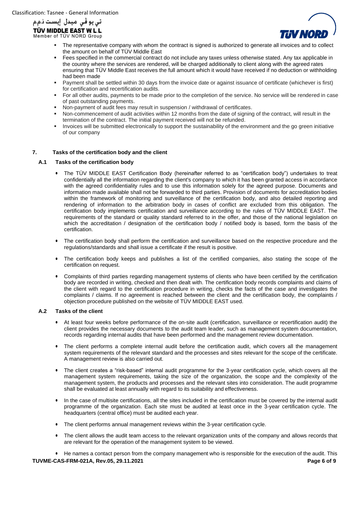

- The representative company with whom the contract is signed is authorized to generate all invoices and to collect the amount on behalf of TÜV Middle East
- Fees specified in the commercial contract do not include any taxes unless otherwise stated. Any tax applicable in the country where the services are rendered, will be charged additionally to client along with the agreed rates ensuring that TÜV Middle East receives the full amount which it would have received if no deduction or withholding had been made
- Payment shall be settled within 30 days from the invoice date or against issuance of certificate (whichever is first) for certification and recertification audits.
- For all other audits, payments to be made prior to the completion of the service. No service will be rendered in case of past outstanding payments.
- Non-payment of audit fees may result in suspension / withdrawal of certificates.
- Non-commencement of audit activities within 12 months from the date of signing of the contract, will result in the termination of the contract. The initial payment received will not be refunded.
- Invoices will be submitted electronically to support the sustainability of the environment and the go green initiative of our company

## **7. Tasks of the certification body and the client**

## **A.1 Tasks of the certification body**

- The TÜV MIDDLE EAST Certification Body (hereinafter referred to as "certification body") undertakes to treat confidentially all the information regarding the client's company to which it has been granted access in accordance with the agreed confidentiality rules and to use this information solely for the agreed purpose. Documents and information made available shall not be forwarded to third parties. Provision of documents for accreditation bodies within the framework of monitoring and surveillance of the certification body, and also detailed reporting and rendering of information to the arbitration body in cases of conflict are excluded from this obligation. The certification body implements certification and surveillance according to the rules of TÜV MIDDLE EAST. The requirements of the standard or quality standard referred to in the offer, and those of the national legislation on which the accreditation / designation of the certification body / notified body is based, form the basis of the certification.
- The certification body shall perform the certification and surveillance based on the respective procedure and the regulations/standards and shall issue a certificate if the result is positive.
- The certification body keeps and publishes a list of the certified companies, also stating the scope of the certification on request.
- Complaints of third parties regarding management systems of clients who have been certified by the certification body are recorded in writing, checked and then dealt with. The certification body records complaints and claims of the client with regard to the certification procedure in writing, checks the facts of the case and investigates the complaints / claims. If no agreement is reached between the client and the certification body, the complaints / objection procedure published on the website of TÜV MIDDLE EAST used.

#### **A.2 Tasks of the client**

- At least four weeks before performance of the on-site audit (certification, surveillance or recertification audit) the client provides the necessary documents to the audit team leader, such as management system documentation, records regarding internal audits that have been performed and the management review documentation.
- The client performs a complete internal audit before the certification audit, which covers all the management system requirements of the relevant standard and the processes and sites relevant for the scope of the certificate. A management review is also carried out.
- The client creates a "risk-based" internal audit programme for the 3-year certification cycle, which covers all the management system requirements, taking the size of the organization, the scope and the complexity of the management system, the products and processes and the relevant sites into consideration. The audit programme shall be evaluated at least annually with regard to its suitability and effectiveness.
- In the case of multisite certifications, all the sites included in the certification must be covered by the internal audit programme of the organization. Each site must be audited at least once in the 3-year certification cycle. The headquarters (central office) must be audited each year.
- The client performs annual management reviews within the 3-year certification cycle.
- The client allows the audit team access to the relevant organization units of the company and allows records that are relevant for the operation of the management system to be viewed.

**TUVME-CAS-FRM-021A, Rev.05, 29.11.2021 Page 6 of 9** • He names a contact person from the company management who is responsible for the execution of the audit. This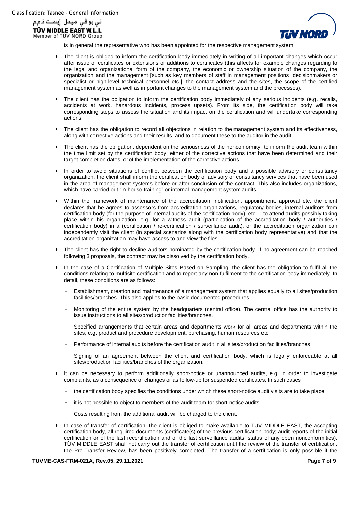



is in general the representative who has been appointed for the respective management system.

- The client is obliged to inform the certification body immediately in writing of all important changes which occur after issue of certificates or extensions or additions to certificates (this affects for example changes regarding to the legal and organizational form of the company, the economic or ownership situation of the company, the organization and the management [such as key members of staff in management positions, decisionmakers or specialist or high-level technical personnel etc.], the contact address and the sites, the scope of the certified management system as well as important changes to the management system and the processes).
- The client has the obligation to inform the certification body immediately of any serious incidents (e.g. recalls, accidents at work, hazardous incidents, process upsets). From its side, the certification body will take corresponding steps to assess the situation and its impact on the certification and will undertake corresponding actions.
- The client has the obligation to record all objections in relation to the management system and its effectiveness, along with corrective actions and their results, and to document these to the auditor in the audit.
- The client has the obligation, dependent on the seriousness of the nonconformity, to inform the audit team within the time limit set by the certification body, either of the corrective actions that have been determined and their target completion dates, orof the implementation of the corrective actions.
- In order to avoid situations of conflict between the certification body and a possible advisory or consultancy organization, the client shall inform the certification body of advisory or consultancy services that have been used in the area of management systems before or after conclusion of the contract. This also includes organizations, which have carried out "in-house training" or internal management system audits.
- Within the framework of maintenance of the accreditation, notification, appointment, approval etc. the client declares that he agrees to assessors from accreditation organizations, regulatory bodies, internal auditors from certification body (for the purpose of internal audits of the certification body), etc.. to attend audits possibly taking place within his organization, e.g. for a witness audit (participation of the accreditation body / authorities / certification body) in a (certification / re-certification / surveillance audit), or the accreditation organization can independently visit the client (in special scenarios along with the certification body representative) and that the accreditation organization may have access to and view the files.
- The client has the right to decline auditors nominated by the certification body. If no agreement can be reached following 3 proposals, the contract may be dissolved by the certification body.
- In the case of a Certification of Multiple Sites Based on Sampling, the client has the obligation to fulfil all the conditions relating to multisite certification and to report any non-fulfilment to the certification body immediately. In detail, these conditions are as follows:
	- Establishment, creation and maintenance of a management system that applies equally to all sites/production facilities/branches. This also applies to the basic documented procedures.
	- Monitoring of the entire system by the headquarters (central office). The central office has the authority to issue instructions to all sites/productionfacilities/branches.
	- Specified arrangements that certain areas and departments work for all areas and departments within the sites, e.g. product and procedure development, purchasing, human resources etc.
	- <sup>−</sup> Performance of internal audits before the certification audit in all sites/production facilities/branches.
	- Signing of an agreement between the client and certification body, which is legally enforceable at all sites/production facilities/branches of the organization.
- It can be necessary to perform additionally short-notice or unannounced audits, e.g. in order to investigate complaints, as a consequence of changes or as follow-up for suspended certificates. In such cases
	- the certification body specifies the conditions under which these short-notice audit visits are to take place,
	- <sup>−</sup> it is not possible to object to members of the audit team for short-notice audits.
	- <sup>−</sup> Costs resulting from the additional audit will be charged to the client.
- In case of transfer of certification, the client is obliged to make available to TÜV MIDDLE EAST, the accepting certification body, all required documents (certificate(s) of the previous certification body; audit reports of the initial certification or of the last recertification and of the last surveillance audits; status of any open nonconformities). TÜV MIDDLE EAST shall not carry out the transfer of certification until the review of the transfer of certification, the Pre-Transfer Review, has been positively completed. The transfer of a certification is only possible if the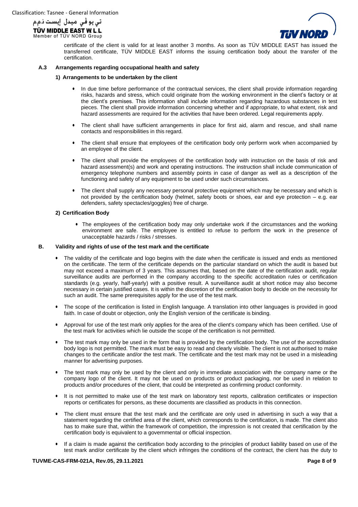



certificate of the client is valid for at least another 3 months. As soon as TÜV MIDDLE EAST has issued the transferred certificate, TÜV MIDDLE EAST informs the issuing certification body about the transfer of the certification.

#### **A.3 Arrangements regarding occupational health and safety**

#### **1) Arrangements to be undertaken by the client**

- In due time before performance of the contractual services, the client shall provide information regarding risks, hazards and stress, which could originate from the working environment in the client's factory or at the client's premises. This information shall include information regarding hazardous substances in test pieces. The client shall provide information concerning whether and if appropriate, to what extent, risk and hazard assessments are required for the activities that have been ordered. Legal requirements apply.
- The client shall have sufficient arrangements in place for first aid, alarm and rescue, and shall name contacts and responsibilities in this regard.
- The client shall ensure that employees of the certification body only perform work when accompanied by an employee of the client.
- The client shall provide the employees of the certification body with instruction on the basis of risk and hazard assessment(s) and work and operating instructions. The instruction shall include communication of emergency telephone numbers and assembly points in case of danger as well as a description of the functioning and safety of any equipment to be used under such circumstances.
- The client shall supply any necessary personal protective equipment which may be necessary and which is not provided by the certification body (helmet, safety boots or shoes, ear and eye protection – e.g. ear defenders, safety spectacles/goggles) free of charge.

## **2) Certification Body**

• The employees of the certification body may only undertake work if the circumstances and the working environment are safe. The employee is entitled to refuse to perform the work in the presence of unacceptable hazards / risks / stresses.

## **B. Validity and rights of use of the test mark and the certificate**

- The validity of the certificate and logo begins with the date when the certificate is issued and ends as mentioned on the certificate. The term of the certificate depends on the particular standard on which the audit is based but may not exceed a maximum of 3 years. This assumes that, based on the date of the certification audit, regular surveillance audits are performed in the company according to the specific accreditation rules or certification standards (e.g. yearly, half-yearly) with a positive result. A surveillance audit at short notice may also become necessary in certain justified cases. It is within the discretion of the certification body to decide on the necessity for such an audit. The same prerequisites apply for the use of the test mark.
- The scope of the certification is listed in English language. A translation into other languages is provided in good faith. In case of doubt or objection, only the English version of the certificate is binding.
- Approval for use of the test mark only applies for the area of the client's company which has been certified. Use of the test mark for activities which lie outside the scope of the certification is not permitted.
- The test mark may only be used in the form that is provided by the certification body. The use of the accreditation body logo is not permitted. The mark must be easy to read and clearly visible. The client is not authorised to make changes to the certificate and/or the test mark. The certificate and the test mark may not be used in a misleading manner for advertising purposes.
- The test mark may only be used by the client and only in immediate association with the company name or the company logo of the client. It may not be used on products or product packaging, nor be used in relation to products and/or procedures of the client, that could be interpreted as confirming product conformity.
- It is not permitted to make use of the test mark on laboratory test reports, calibration certificates or inspection reports or certificates for persons, as these documents are classified as products in this connection.
- The client must ensure that the test mark and the certificate are only used in advertising in such a way that a statement regarding the certified area of the client, which corresponds to the certification, is made. The client also has to make sure that, within the framework of competition, the impression is not created that certification by the certification body is equivalent to a governmental or official inspection.
- If a claim is made against the certification body according to the principles of product liability based on use of the test mark and/or certificate by the client which infringes the conditions of the contract, the client has the duty to